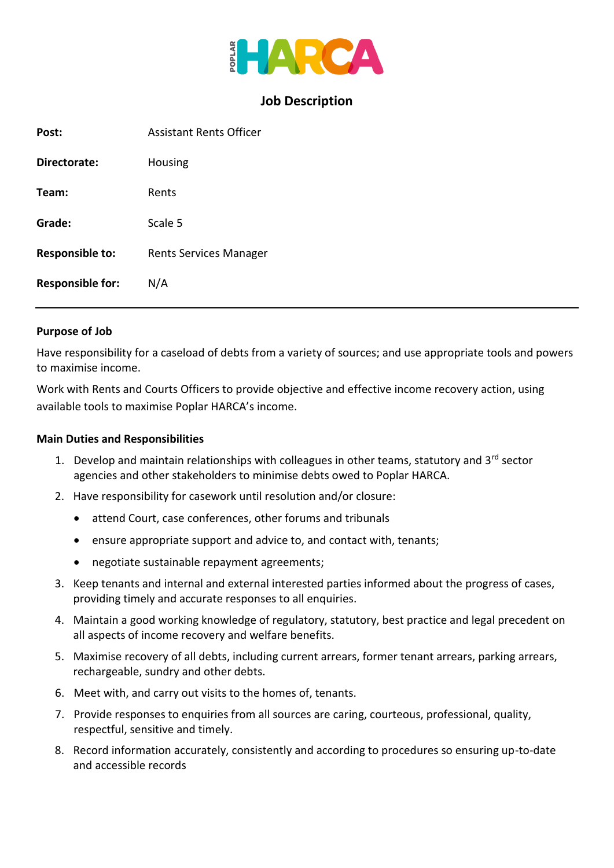

## **Job Description**

| Post:                   | <b>Assistant Rents Officer</b> |
|-------------------------|--------------------------------|
| Directorate:            | Housing                        |
| Team:                   | Rents                          |
| Grade:                  | Scale 5                        |
| <b>Responsible to:</b>  | Rents Services Manager         |
| <b>Responsible for:</b> | N/A                            |

#### **Purpose of Job**

Have responsibility for a caseload of debts from a variety of sources; and use appropriate tools and powers to maximise income.

Work with Rents and Courts Officers to provide objective and effective income recovery action, using available tools to maximise Poplar HARCA's income.

#### **Main Duties and Responsibilities**

- 1. Develop and maintain relationships with colleagues in other teams, statutory and 3<sup>rd</sup> sector agencies and other stakeholders to minimise debts owed to Poplar HARCA.
- 2. Have responsibility for casework until resolution and/or closure:
	- attend Court, case conferences, other forums and tribunals
	- ensure appropriate support and advice to, and contact with, tenants;
	- negotiate sustainable repayment agreements;
- 3. Keep tenants and internal and external interested parties informed about the progress of cases, providing timely and accurate responses to all enquiries.
- 4. Maintain a good working knowledge of regulatory, statutory, best practice and legal precedent on all aspects of income recovery and welfare benefits.
- 5. Maximise recovery of all debts, including current arrears, former tenant arrears, parking arrears, rechargeable, sundry and other debts.
- 6. Meet with, and carry out visits to the homes of, tenants.
- 7. Provide responses to enquiries from all sources are caring, courteous, professional, quality, respectful, sensitive and timely.
- 8. Record information accurately, consistently and according to procedures so ensuring up-to-date and accessible records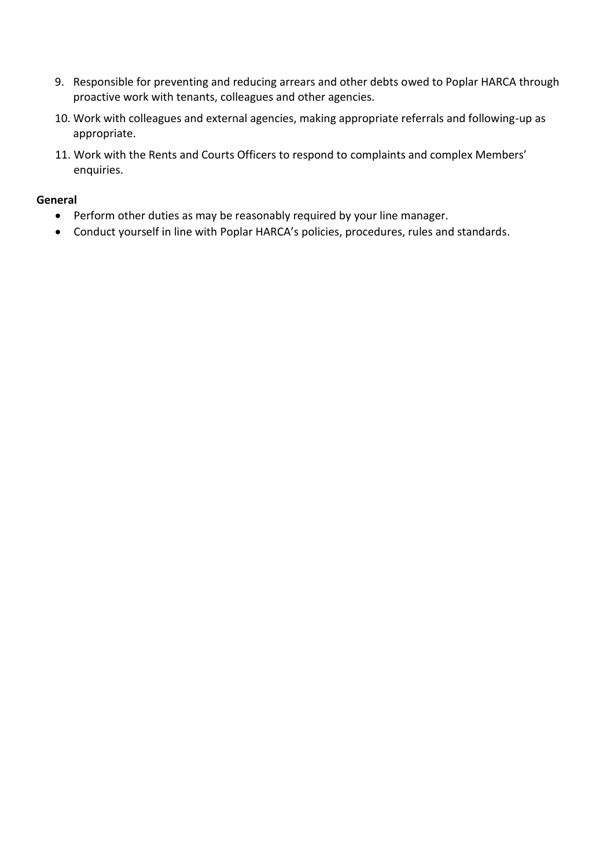- 9. Responsible for preventing and reducing arrears and other debts owed to Poplar HARCA through proactive work with tenants, colleagues and other agencies.
- 10. Work with colleagues and external agencies, making appropriate referrals and following-up as appropriate.
- 11. Work with the Rents and Courts Officers to respond to complaints and complex Members' enquiries.

### **General**

- Perform other duties as may be reasonably required by your line manager.
- Conduct yourself in line with Poplar HARCA's policies, procedures, rules and standards.